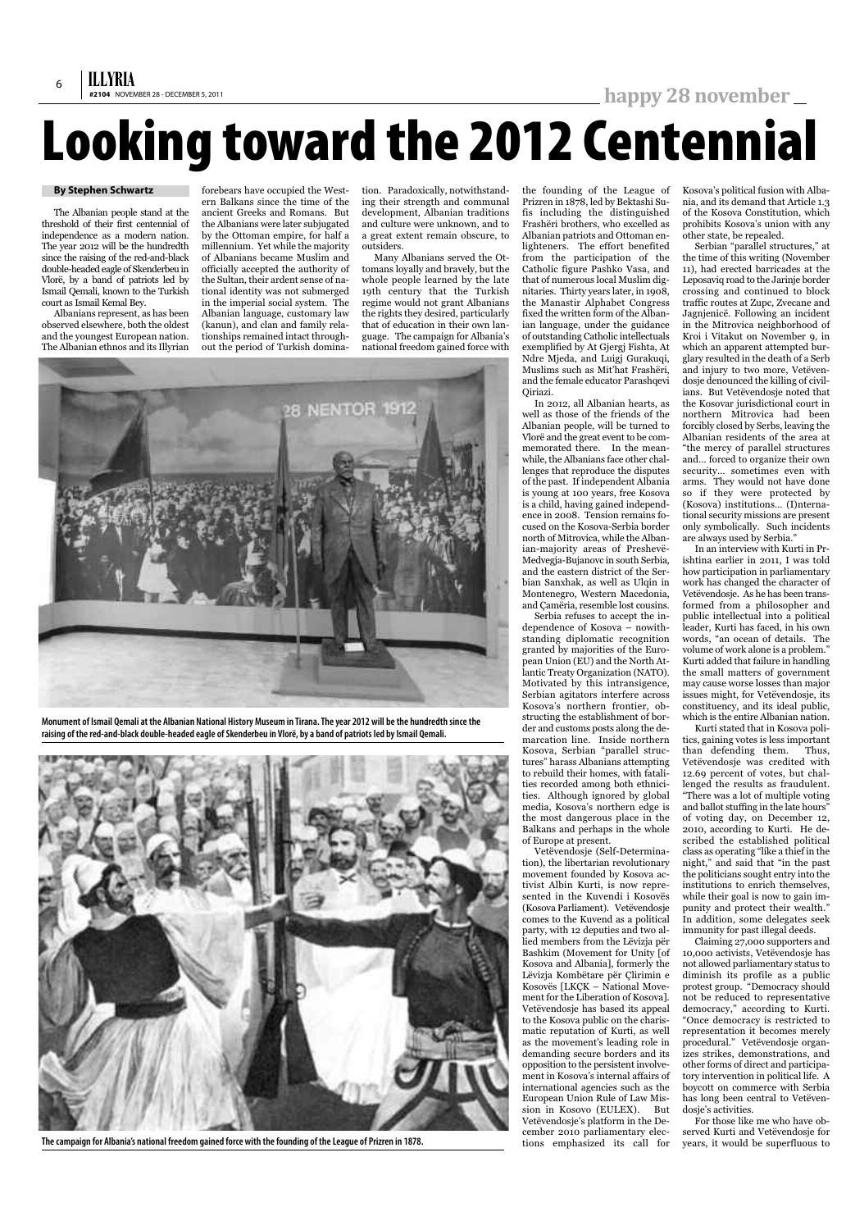## **By Stephen Schwartz**

The Albanian people stand at the threshold of their first centennial of independence as a modern nation. The year 2012 will be the hundredth since the raising of the red-and-black double-headed eagle of Skenderbeu in Vlorë, by a band of patriots led by Ismail Qemali, known to the Turkish court as Ismail Kemal Bey.

Albanians represent, as has been observed elsewhere, both the oldest and the youngest European nation. The Albanian ethnos and its Illyrian

forebears have occupied the Western Balkans since the time of the ancient Greeks and Romans. But the Albanians were later subjugated by the Ottoman empire, for half a millennium. Yet while the majority of Albanians became Muslim and officially accepted the authority of the Sultan, their ardent sense of national identity was not submerged in the imperial social system. The Albanian language, customary law (kanun), and clan and family relationships remained intact throughout the period of Turkish domination. Paradoxically, notwithstanding their strength and communal development, Albanian traditions and culture were unknown, and to a great extent remain obscure, to outsiders.

Many Albanians served the Ottomans loyally and bravely, but the whole people learned by the late 19th century that the Turkish regime would not grant Albanians the rights they desired, particularly that of education in their own language. The campaign for Albania's national freedom gained force with the founding of the League of Prizren in 1878, led by Bektashi Sufis including the distinguished Frashëri brothers, who excelled as Albanian patriots and Ottoman enlighteners. The effort benefited from the participation of the Catholic figure Pashko Vasa, and that of numerous local Muslim dignitaries. Thirty years later, in 1908, the Manastir Alphabet Congress fixed the written form of the Albanian language, under the guidance of outstanding Catholic intellectuals exemplified by At Gjergj Fishta, At Ndre Mjeda, and Luigj Gurakuqi, Muslims such as Mit'hat Frashëri, and the female educator Parashqevi Qiriazi.

In 2012, all Albanian hearts, as well as those of the friends of the Albanian people, will be turned to Vlorë and the great event to be commemorated there. In the meanwhile, the Albanians face other challenges that reproduce the disputes of the past. If independent Albania is young at 100 years, free Kosova is a child, having gained independence in 2008. Tension remains focused on the Kosova-Serbia border north of Mitrovica, while the Albanian-majority areas of Preshevë-Medvegja-Bujanovc in south Serbia, and the eastern district of the Serbian Sanxhak, as well as Ulqin in Montenegro, Western Macedonia, and Çamëria, resemble lost cousins.

Serbia refuses to accept the independence of Kosova – nowithstanding diplomatic recognition granted by majorities of the European Union (EU) and the North Atlantic Treaty Organization (NATO). Motivated by this intransigence, Serbian agitators interfere across Kosova's northern frontier, obstructing the establishment of border and customs posts along the demarcation line. Inside northern Kosova, Serbian "parallel structures" harass Albanians attempting to rebuild their homes, with fatalities recorded among both ethnicities. Although ignored by global media, Kosova's northern edge is the most dangerous place in the Balkans and perhaps in the whole of Europe at present.

Vetëvendosje (Self-Determination), the libertarian revolutionary movement founded by Kosova activist Albin Kurti, is now represented in the Kuvendi i Kosovës (Kosova Parliament). Vetëvendosje comes to the Kuvend as a political party, with 12 deputies and two allied members from the Lëvizja për Bashkim (Movement for Unity [of Kosova and Albania], formerly the Lëvizja Kombëtare për Çlirimin e Kosovës [LKÇK – National Movement for the Liberation of Kosova]. Vetëvendosje has based its appeal to the Kosova public on the charismatic reputation of Kurti, as well as the movement's leading role in demanding secure borders and its opposition to the persistent involvement in Kosova's internal affairs of international agencies such as the European Union Rule of Law Mission in Kosovo (EULEX). But Vetëvendosje's platform in the December 2010 parliamentary elections emphasized its call for Kosova's political fusion with Albania, and its demand that Article 1.3 of the Kosova Constitution, which prohibits Kosova's union with any other state, be repealed.

Serbian "parallel structures," at the time of this writing (November 11), had erected barricades at the Leposaviq road to the Jarinje border crossing and continued to block traffic routes at Zupc, Zvecane and Jagnjenicë. Following an incident in the Mitrovica neighborhood of Kroi i Vitakut on November 9, in which an apparent attempted burglary resulted in the death of a Serb and injury to two more, Vetëvendosje denounced the killing of civilians. But Vetëvendosje noted that the Kosovar jurisdictional court in northern Mitrovica had been forcibly closed by Serbs, leaving the Albanian residents of the area at "the mercy of parallel structures and… forced to organize their own security… sometimes even with arms. They would not have done so if they were protected by (Kosova) institutions… (I)nternational security missions are present only symbolically. Such incidents are always used by Serbia."

In an interview with Kurti in Prishtina earlier in 2011, I was told how participation in parliamentary work has changed the character of Vetëvendosje. As he has been transformed from a philosopher and public intellectual into a political leader, Kurti has faced, in his own words, "an ocean of details. The volume of work alone is a problem." Kurti added that failure in handling the small matters of government may cause worse losses than major issues might, for Vetëvendosje, its constituency, and its ideal public, which is the entire Albanian nation.

Kurti stated that in Kosova politics, gaining votes is less important than defending them. Thus, Vetëvendosje was credited with 12.69 percent of votes, but challenged the results as fraudulent. "There was a lot of multiple voting and ballot stuffing in the late hours" of voting day, on December 12, 2010, according to Kurti. He described the established political class as operating "like a thief in the night," and said that "in the past the politicians sought entry into the institutions to enrich themselves, while their goal is now to gain impunity and protect their wealth." In addition, some delegates seek immunity for past illegal deeds.

Claiming 27,000 supporters and 10,000 activists, Vetëvendosje has not allowed parliamentary status to diminish its profile as a public protest group. "Democracy should not be reduced to representative democracy," according to Kurti. "Once democracy is restricted to representation it becomes merely procedural." Vetëvendosje organizes strikes, demonstrations, and other forms of direct and participatory intervention in political life. A boycott on commerce with Serbia has long been central to Vetëvendosje's activities.

For those like me who have observed Kurti and Vetëvendosje for years, it would be superfluous to

## **Looking toward the 2012 Centennial**



**Monument of Ismail Qemaliat the Albanian National History Museumin Tirana.Theyear 2012 will bethe hundredth sincethe raising of thered-and-black double-headed eagle ofSkenderbeu in Vlorë, bya band of patriots led byIsmail Qemali.**



**Thecampaign for Albania's national freedomgained force with thefounding of theLeague of Prizren in 1878.**